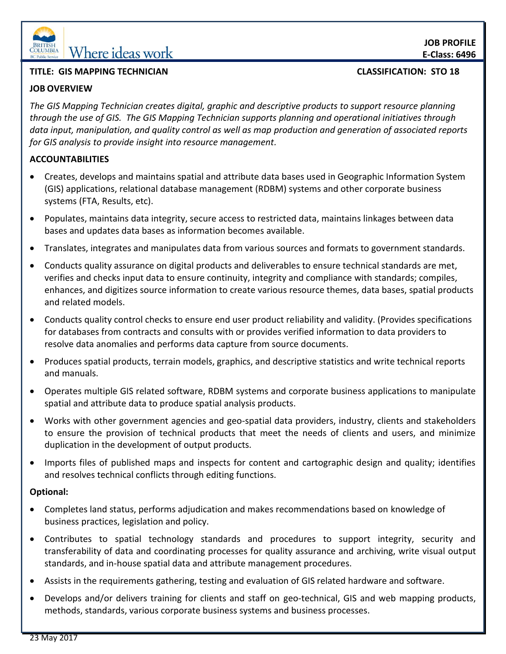

## **TITLE: GIS MAPPING TECHNICIAN CLASSIFICATION: STO 18**

## **JOB OVERVIEW**

*The GIS Mapping Technician creates digital, graphic and descriptive products to support resource planning through the use of GIS. The GIS Mapping Technician supports planning and operational initiatives through data input, manipulation, and quality control as well as map production and generation of associated reports for GIS analysis to provide insight into resource management.*

# **ACCOUNTABILITIES**

- Creates, develops and maintains spatial and attribute data bases used in Geographic Information System (GIS) applications, relational database management (RDBM) systems and other corporate business systems (FTA, Results, etc).
- Populates, maintains data integrity, secure access to restricted data, maintains linkages between data bases and updates data bases as information becomes available.
- Translates, integrates and manipulates data from various sources and formats to government standards.
- Conducts quality assurance on digital products and deliverables to ensure technical standards are met, verifies and checks input data to ensure continuity, integrity and compliance with standards; compiles, enhances, and digitizes source information to create various resource themes, data bases, spatial products and related models.
- Conducts quality control checks to ensure end user product reliability and validity. (Provides specifications for databases from contracts and consults with or provides verified information to data providers to resolve data anomalies and performs data capture from source documents.
- Produces spatial products, terrain models, graphics, and descriptive statistics and write technical reports and manuals.
- Operates multiple GIS related software, RDBM systems and corporate business applications to manipulate spatial and attribute data to produce spatial analysis products.
- Works with other government agencies and geo-spatial data providers, industry, clients and stakeholders to ensure the provision of technical products that meet the needs of clients and users, and minimize duplication in the development of output products.
- Imports files of published maps and inspects for content and cartographic design and quality; identifies and resolves technical conflicts through editing functions.

### **Optional:**

- Completes land status, performs adjudication and makes recommendations based on knowledge of business practices, legislation and policy.
- Contributes to spatial technology standards and procedures to support integrity, security and transferability of data and coordinating processes for quality assurance and archiving, write visual output standards, and in-house spatial data and attribute management procedures.
- Assists in the requirements gathering, testing and evaluation of GIS related hardware and software.
- Develops and/or delivers training for clients and staff on geo-technical, GIS and web mapping products, methods, standards, various corporate business systems and business processes.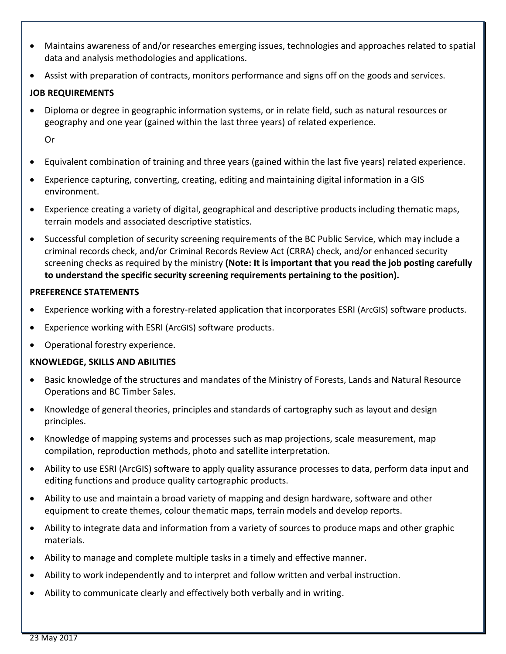- Maintains awareness of and/or researches emerging issues, technologies and approaches related to spatial data and analysis methodologies and applications.
- Assist with preparation of contracts, monitors performance and signs off on the goods and services.

### **JOB REQUIREMENTS**

- Diploma or degree in geographic information systems, or in relate field, such as natural resources or geography and one year (gained within the last three years) of related experience. Or
- Equivalent combination of training and three years (gained within the last five years) related experience.
- Experience capturing, converting, creating, editing and maintaining digital information in a GIS environment.
- Experience creating a variety of digital, geographical and descriptive products including thematic maps, terrain models and associated descriptive statistics.
- Successful completion of security screening requirements of the BC Public Service, which may include a criminal records check, and/or Criminal Records Review Act (CRRA) check, and/or enhanced security screening checks as required by the ministry **(Note: It is important that you read the job posting carefully to understand the specific security screening requirements pertaining to the position).**

#### **PREFERENCE STATEMENTS**

- Experience working with a forestry-related application that incorporates ESRI (ArcGIS) software products.
- Experience working with ESRI (ArcGIS) software products.
- Operational forestry experience.

#### **KNOWLEDGE, SKILLS AND ABILITIES**

- Basic knowledge of the structures and mandates of the Ministry of Forests, Lands and Natural Resource Operations and BC Timber Sales.
- Knowledge of general theories, principles and standards of cartography such as layout and design principles.
- Knowledge of mapping systems and processes such as map projections, scale measurement, map compilation, reproduction methods, photo and satellite interpretation.
- Ability to use ESRI (ArcGIS) software to apply quality assurance processes to data, perform data input and editing functions and produce quality cartographic products.
- Ability to use and maintain a broad variety of mapping and design hardware, software and other equipment to create themes, colour thematic maps, terrain models and develop reports.
- Ability to integrate data and information from a variety of sources to produce maps and other graphic materials.
- Ability to manage and complete multiple tasks in a timely and effective manner.
- Ability to work independently and to interpret and follow written and verbal instruction.
- Ability to communicate clearly and effectively both verbally and in writing.